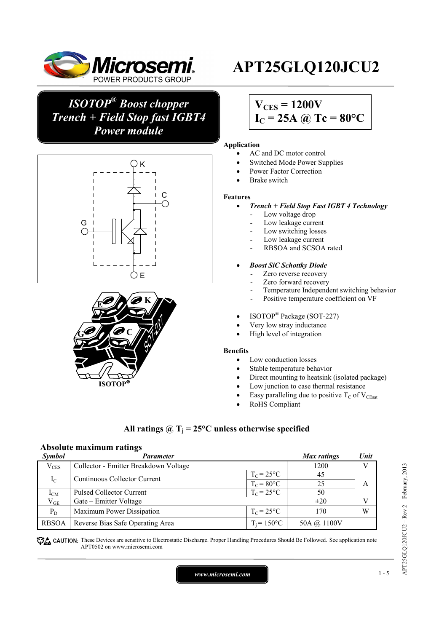

*ISOTOP® Boost chopper Trench + Field Stop fast IGBT4 Power module*





# **APT25GLQ120JCU2**

## $V_{CES} = 1200V$  $I_C = 25A \omega Tc = 80^{\circ}C$

#### **Application**

- AC and DC motor control
- Switched Mode Power Supplies
- Power Factor Correction
- Brake switch

#### **Features**

- *Trench + Field Stop Fast IGBT 4 Technology* 
	- Low voltage drop
	- Low leakage current
	- Low switching losses
	- Low leakage current
	- RBSOA and SCSOA rated
	- *Boost SiC Schottky Diode* 
		- Zero reverse recovery
		- Zero forward recovery
		- Temperature Independent switching behavior
		- Positive temperature coefficient on VF
	- ISOTOP® Package (SOT-227)
- Very low stray inductance
- High level of integration

#### **Benefits**

- Low conduction losses
- Stable temperature behavior
- Direct mounting to heatsink (isolated package)
- Low junction to case thermal resistance
- Easy paralleling due to positive  $T_C$  of  $V_{CEsat}$
- RoHS Compliant

### All ratings  $\omega_{\text{I}} = 25^{\circ}\text{C}$  unless otherwise specified

#### **Absolute maximum ratings**

| Symbol       | Parameter                             |                      | <b>Max</b> ratings | Unit |
|--------------|---------------------------------------|----------------------|--------------------|------|
| $V_{CES}$    | Collector - Emitter Breakdown Voltage |                      | 1200               |      |
| $I_{\rm C}$  | Continuous Collector Current          | $T_c = 25^{\circ}C$  | 45                 |      |
|              |                                       | $T_c = 80$ °C        | 25                 |      |
| $I_{CM}$     | <b>Pulsed Collector Current</b>       | $T_C = 25^{\circ}C$  | 50                 |      |
| $\rm V_{GE}$ | Gate – Emitter Voltage                |                      | $\pm 20$           |      |
| $P_D$        | Maximum Power Dissipation             | $T_C = 25^{\circ}C$  | 170                | W    |
| <b>RBSOA</b> | Reverse Bias Safe Operating Area      | $T_i = 150^{\circ}C$ | 50A @ 1100V        |      |

CAUTION: These Devices are sensitive to Electrostatic Discharge. Proper Handling Procedures Should Be Followed. See application note APT0502 on www.microsemi.com

*www.microsemi.com* 1-5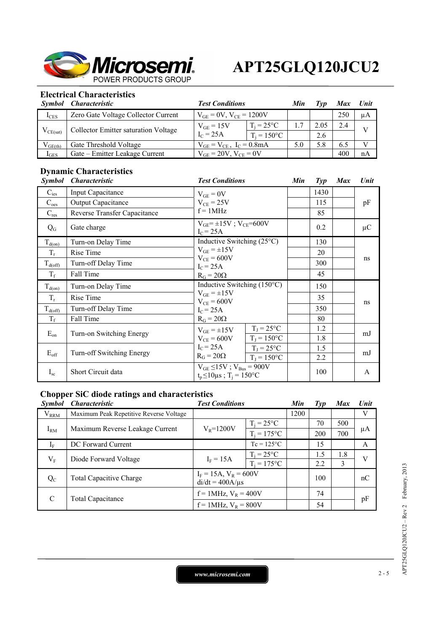

## **Electrical Characteristics**

|               | Symbol Characteristic                | <b>Test Conditions</b>            |                     | Min | Typ  | <b>Max</b> | Unit    |
|---------------|--------------------------------------|-----------------------------------|---------------------|-----|------|------------|---------|
| $I_{CES}$     | Zero Gate Voltage Collector Current  | $V_{GE} = 0V$ , $V_{CE} = 1200V$  |                     |     |      | 250        | $\mu A$ |
| $V_{CE(sat)}$ | Collector Emitter saturation Voltage | $V_{GE} = 15V$                    | $T_i = 25^{\circ}C$ |     | 2.05 | 2.4        |         |
|               |                                      | $I_C = 25A$<br>$T_i = 150$ °C     |                     | 2.6 |      |            |         |
| $V_{GE(th)}$  | Gate Threshold Voltage               | $V_{GE} = V_{CE}$ , $I_C = 0.8mA$ |                     | 5.0 | 5.8  | 6.5        |         |
| $I_{GES}$     | Gate – Emitter Leakage Current       | $V_{GE} = 20V$ , $V_{CE} = 0V$    |                     |     |      | 400        | nA      |

## **Dynamic Characteristics**

| <i><b>Symbol</b></i> | <i><b>Characteristic</b></i> | <b>Test Conditions</b>                                                             |                                      | Min | $\mathcal{I}yp$ | <b>Max</b> | Unit    |
|----------------------|------------------------------|------------------------------------------------------------------------------------|--------------------------------------|-----|-----------------|------------|---------|
| $C_{\text{ies}}$     | Input Capacitance            | $V_{GE} = 0V$                                                                      |                                      |     | 1430            |            |         |
| $C_{\text{oes}}$     | <b>Output Capacitance</b>    | $V_{CE}$ = 25V                                                                     |                                      |     | 115             |            | pF      |
| $C_{res}$            | Reverse Transfer Capacitance | $f = 1$ MHz                                                                        |                                      |     | 85              |            |         |
| $Q_G$                | Gate charge                  | $V_{GE} = \pm 15V$ ; $V_{CE} = 600V$<br>$IC = 25A$                                 |                                      |     | 0.2             |            | $\mu$ C |
| $T_{d(on)}$          | Turn-on Delay Time           | Inductive Switching $(25^{\circ}C)$                                                |                                      |     | 130             |            | ns      |
| $T_r$                | Rise Time                    | $V_{GE} = \pm 15V$                                                                 |                                      |     | 20              |            |         |
| $T_{d(off)}$         | Turn-off Delay Time          | $V_{CE}$ = 600V<br>$IC = 25A$                                                      |                                      |     | 300             |            |         |
| $T_f$                | Fall Time                    | $R_G = 20\Omega$                                                                   |                                      |     | 45              |            |         |
| $T_{d(on)}$          | Turn-on Delay Time           |                                                                                    | Inductive Switching $(150^{\circ}C)$ |     | 150             |            | ns      |
| $T_r$                | Rise Time                    | $V_{GE} = \pm 15V$<br>$V_{CE} = 600V$<br>$IC = 25A$<br>$R_G = 20\Omega$            |                                      |     | 35              |            |         |
| $T_{d(off)}$         | Turn-off Delay Time          |                                                                                    |                                      |     | 350             |            |         |
| $T_f$                | Fall Time                    |                                                                                    |                                      |     | 80              |            |         |
| $E_{on}$             | Turn-on Switching Energy     | $V_{GE} = \pm 15V$                                                                 | $T_J = 25$ °C                        |     | 1.2             |            | mJ      |
|                      |                              | $V_{CE} = 600V$                                                                    | $T_J = 150$ °C                       |     | 1.8             |            |         |
| $E_{\text{off}}$     | Turn-off Switching Energy    | $I_C = 25A$<br>$R_G = 20\Omega$                                                    | $T_J = 25$ °C                        |     | 1.5             |            | mJ      |
|                      |                              |                                                                                    | $T_J = 150$ °C                       | 2.2 |                 |            |         |
| $I_{sc}$             | Short Circuit data           | $V_{GE} \le 15V$ ; $V_{Bus} = 900V$<br>$t_p \le 10 \mu s$ ; T <sub>i</sub> = 150°C |                                      |     | 100             |            | A       |

## **Chopper SiC diode ratings and characteristics**

| <i>Symbol</i> | <b>Characteristic</b>                   | <b>Test Conditions</b>                             |                     | Min  | Typ | <b>Max</b> | <b>Unit</b> |
|---------------|-----------------------------------------|----------------------------------------------------|---------------------|------|-----|------------|-------------|
| $V_{RRM}$     | Maximum Peak Repetitive Reverse Voltage |                                                    |                     | 1200 |     |            | V           |
| $I_{\rm RM}$  | Maximum Reverse Leakage Current         | $V_R = 1200V$                                      | $T_i = 25^{\circ}C$ |      | 70  | 500        | μA          |
|               |                                         |                                                    | $T_i = 175$ °C      |      | 200 | 700        |             |
| $I_{\rm F}$   | DC Forward Current                      |                                                    | $Tc = 125^{\circ}C$ |      | 15  |            | A           |
| $V_{\rm F}$   | Diode Forward Voltage                   | $T_i = 25^{\circ}C$<br>$I_F = 15A$                 |                     |      | 1.5 | 1.8        | V           |
|               |                                         |                                                    | $T_i = 175$ °C      |      | 2.2 | 3          |             |
| $Q_{C}$       | <b>Total Capacitive Charge</b>          | $I_F = 15A$ , $V_R = 600V$<br>$di/dt = 400A/\mu s$ |                     |      | 100 |            | nC          |
| $\mathcal{C}$ | Total Capacitance                       | $f = 1$ MHz, $V_R = 400V$                          |                     |      | 74  |            | pF          |
|               |                                         | $f = 1$ MHz, $V_R = 800V$                          |                     |      | 54  |            |             |

*www.microsemi.com* 2-5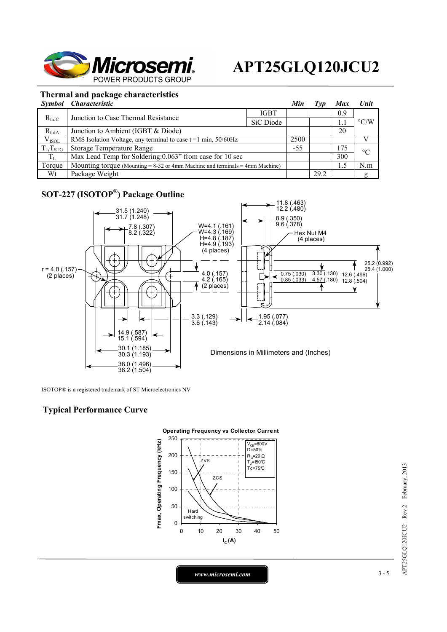

## **Thermal and package characteristics**

|                | Symbol Characteristic                                                             |             | Min   | Tvp  | <b>Max</b> | <b>Unit</b>        |
|----------------|-----------------------------------------------------------------------------------|-------------|-------|------|------------|--------------------|
| $R_{th,IC}$    | Junction to Case Thermal Resistance                                               | <b>IGBT</b> |       |      | 0.9        | $\rm ^{\circ}$ C/W |
|                |                                                                                   | SiC Diode   |       |      | 1.         |                    |
| $R_{thJA}$     | Junction to Ambient (IGBT & Diode)                                                |             |       |      | 20         |                    |
| $V_{ISOL}$     | RMS Isolation Voltage, any terminal to case $t = 1$ min, $50/60$ Hz               |             | 2500  |      |            |                    |
| $T_J, T_{STG}$ | Storage Temperature Range                                                         |             | $-55$ |      | 175        | $\rm ^{\circ}C$    |
| $T_{L}$        | Max Lead Temp for Soldering: 0.063" from case for 10 sec                          |             |       |      | 300        |                    |
| Torque         | Mounting torque (Mounting $= 8-32$ or 4mm Machine and terminals $= 4$ mm Machine) |             |       |      | 1.5        | N.m                |
| Wt             | Package Weight                                                                    |             |       | 29.2 |            | g                  |

## **SOT-227 (ISOTOP®) Package Outline**



ISOTOP® is a registered trademark of ST Microelectronics NV

### **Typical Performance Curve**



 $APT25GLQ120JCU2 - Rev2$  February, 2013 APT25GLQ120JCU2 – Rev 2 February, 2013

*www.microsemi.com* 3-5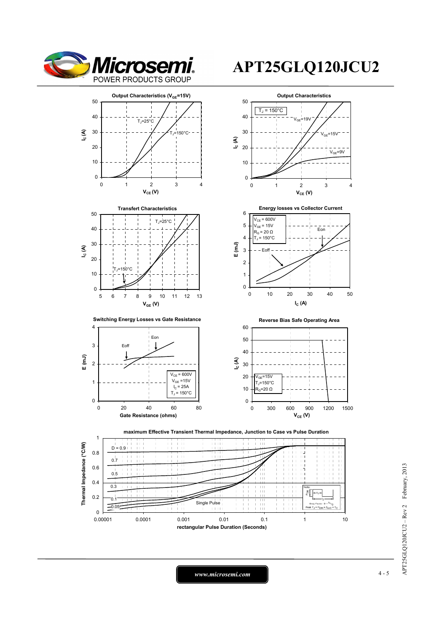





**Switching Energy Losses vs Gate Resistance <b>Reverse Bias Safe Operating Area** 















*www.microsemi.com* 4-5

## **APT25GLQ120JCU2**